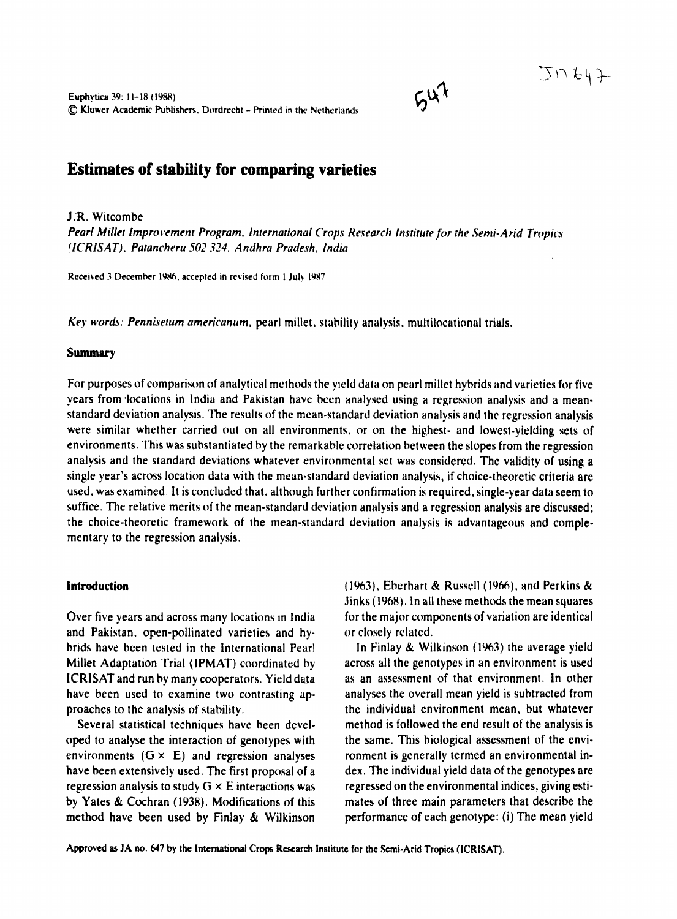# **Estimates of stability for comparing varieties**

**IR** Witcombe Pearl Millet Improvement Program, International Crops Research Institute for the Semi-Arid Tropics (ICRISAT). Patancheru 502 324. Andhra Pradesh. India

 $64$ 

Received 3 December 1986; accepted in revised form 1 July 1987

Key words: Pennisetum americanum, pearl millet, stability analysis, multilocational trials.

#### Summary

For purposes of comparison of analytical methods the vield data on pearl millet hybrids and varieties for five years from locations in India and Pakistan have been analysed using a regression analysis and a meanstandard deviation analysis. The results of the mean-standard deviation analysis and the regression analysis were similar whether carried out on all environments, or on the highest- and lowest-vielding sets of environments. This was substantiated by the remarkable correlation between the slopes from the regression analysis and the standard deviations whatever environmental set was considered. The validity of using a single year's across location data with the mean-standard deviation analysis, if choice-theoretic criteria are used, was examined. It is concluded that, although further confirmation is required, single-year data seem to suffice. The relative merits of the mean-standard deviation analysis and a regression analysis are discussed; the choice-theoretic framework of the mean-standard deviation analysis is advantageous and complementary to the regression analysis.

#### **Introduction**

Over five years and across many locations in India and Pakistan, open-pollinated varieties and hybrids have been tested in the International Pearl Millet Adaptation Trial (IPMAT) coordinated by ICRISAT and run by many cooperators. Yield data have been used to examine two contrasting approaches to the analysis of stability.

Several statistical techniques have been developed to analyse the interaction of genotypes with environments  $(G \times E)$  and regression analyses have been extensively used. The first proposal of a regression analysis to study  $G \times E$  interactions was by Yates & Cochran (1938). Modifications of this method have been used by Finlay & Wilkinson (1963). Eberhart & Russell (1966), and Perkins & Jinks (1968). In all these methods the mean squares for the major components of variation are identical or closely related.

In Finlay & Wilkinson (1963) the average yield across all the genotypes in an environment is used as an assessment of that environment. In other analyses the overall mean vield is subtracted from the individual environment mean, but whatever method is followed the end result of the analysis is the same. This biological assessment of the environment is generally termed an environmental index. The individual vield data of the genotypes are regressed on the environmental indices, giving estimates of three main parameters that describe the performance of each genotype: (i) The mean yield

Approved as JA no. 647 by the International Crops Research Institute for the Semi-Arid Tropics (ICRISAT).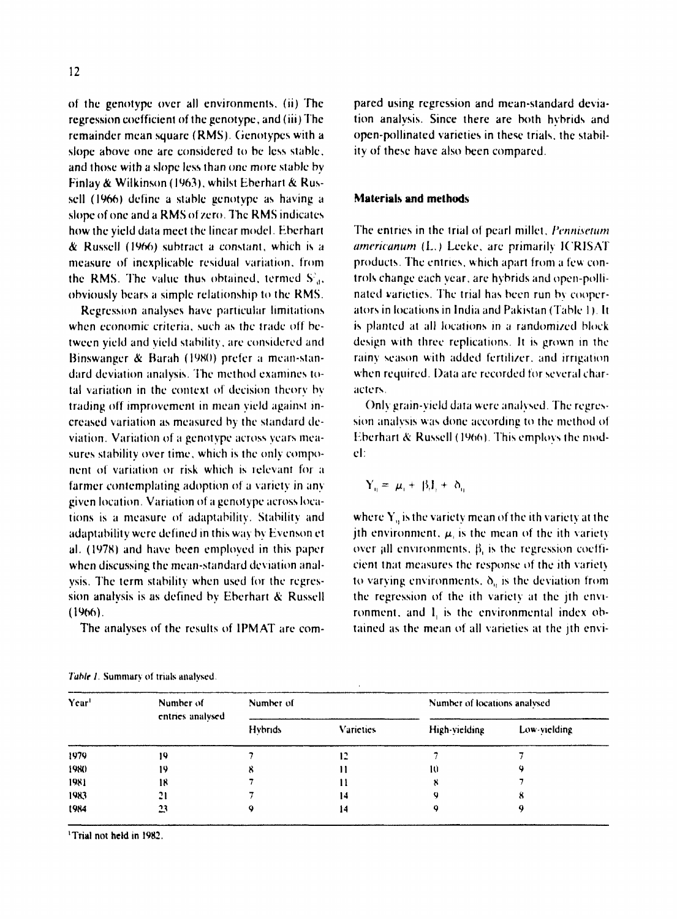of the genotype over all environments, (ii) The regression coefficient of the genotype, and (iii) The remainder mean square (RMS). Genotypes with a slone above one are considered to be less stable. and those with a slope less than one more stable by Finlay & Wilkinson (1963), whilst Eberhart & Russell (1966) define a stable genotype as having a slope of one and a RMS of zero. The RMS indicates how the vield data meet the linear model. Eberhart & Russell (1966) subtract a constant, which is a measure of inexplicable residual variation, from the RMS. The value thus obtained, termed  $S_A^2$ , obviously bears a simple relationship to the RMS.

Regression analyses have particular limitations when economic criteria, such as the trade off between vield and vield stability, are considered and Binswanger & Barah (1980) prefer a mean-standard deviation analysis. The method examines total variation in the context of decision theory by trading off improvement in mean yield against increased variation as measured by the standard deviation. Variation of a genotype across years measures stability over time, which is the only component of variation or risk which is relevant for a farmer contemplating adoption of a variety in any given location. Variation of a genotype across locations is a measure of adaptability. Stability and adaptability were defined in this way by Evenson et al. (1978) and have been employed in this paper when discussing the mean-standard deviation analysis. The term stability when used for the regression analysis is as defined by Eberhart & Russell  $(1966)$ .

The analyses of the results of IPMAT are com-

Table 1. Summary of trials analysed.

pared using regression and mean-standard deviation analysis. Since there are both hybrids and open-pollinated varieties in these trials, the stability of these have also been compared.

# Materials and methods

The entries in the trial of pearl millet, Pennisetum americanum (L.) Leeke, are primarily ICRISAT products. The entries, which apart from a few controls change each year, are hybrids and open-pollinated varieties. The trial has been run by cooperators in locations in India and Pakistan (Table 1). It is planted at all locations in a randomized block design with three replications. It is grown in the rainy season with added fertilizer, and irrigation when required. Data are recorded for several characters.

Only grain-vield data were analysed. The regression analysis was done according to the method of Eberhart & Russell (1966). This employs the model:

$$
Y_n = \mu_1 + \beta_2 I_1 + \delta_n
$$

where  $Y<sub>n</sub>$  is the variety mean of the ith variety at the ith environment,  $\mu$  is the mean of the ith variety over all environments,  $\beta$ , is the regression coefficient that measures the response of the ith variety to varying environments,  $\delta_n$  is the deviation from the regression of the ith variety at the ith environment, and I, is the environmental index obtained as the mean of all varieties at the ith envi-

| Year <sup>1</sup> | Number of<br>entries analysed | Number of      |                  | Number of locations analysed |              |  |
|-------------------|-------------------------------|----------------|------------------|------------------------------|--------------|--|
|                   |                               | <b>Hybrids</b> | <b>Varieties</b> | High-vielding                | Low-vielding |  |
| 1979              |                               |                |                  |                              |              |  |
| 1980              | 19                            |                |                  | 10                           |              |  |
| 1981              | 18                            |                |                  |                              |              |  |
| 1983              | 21                            |                | 14               |                              |              |  |
| 1984              | 23                            |                | 14               |                              |              |  |

"Trial not held in 1982"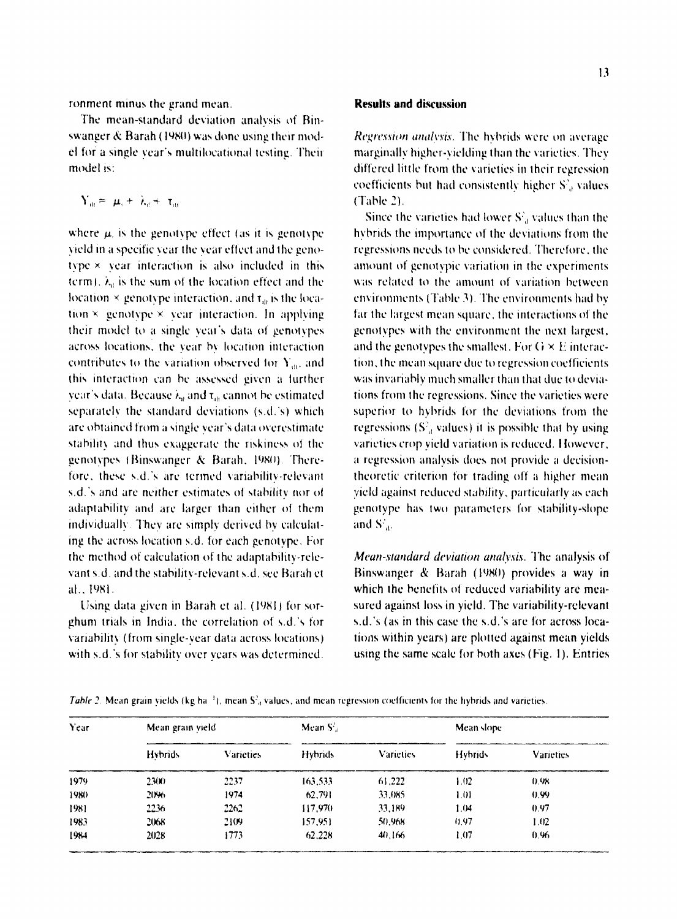ronment minus the grand mean.

The mean-standard deviation analysis of Binswanger & Barah (1980) was done using their model for a single year's multilocational testing. Their model is:

$$
Y_{ik} = \mu_i + \lambda_i + \tau_{ik}
$$

where  $\mu$  is the genotype effect (as it is genotype vield in a specific year the year effect and the genotype × year interaction is also included in this term),  $\lambda_n$  is the sum of the location effect and the location  $\times$  genotype interaction, and  $\tau_a$  is the location  $\times$  genotype  $\times$  year interaction. In applying their model to a single year's data of genotypes across locations, the year by location interaction contributes to the variation observed for Y.c. and this interaction can be assessed given a further year's data. Because  $\lambda_a$  and  $\tau_a$  cannot be estimated separately the standard deviations (s.d.'s) which are obtained from a single year's data overestimate stability and thus exaggerate the riskiness of the genotypes (Binswanger & Barah, 1980). Therefore, these s.d.'s are termed variability-relevant s.d.'s and are neither estimates of stability nor of adaptability and are larger than either of them individually. They are simply derived by calculating the across location s.d. for each genotype. For the method of calculation of the adaptability-relevant s.d. and the stability-relevant s.d. see Barah et al., 1981.

Using data given in Barah et al. (1981) for sorghum trials in India, the correlation of s.d.'s for variability (from single-year data across locations) with s.d.'s for stability over years was determined.

### **Results and discussion**

Regression analysis. The hybrids were on average marginally higher-vielding than the varieties. They differed little from the varieties in their regression coefficients but had consistently higher S<sup>2</sup>, values  $(Table 2)$ 

Since the varieties had lower S', values than the hybrids the importance of the deviations from the regressions needs to be considered. Therefore, the amount of genotypic variation in the experiments was related to the amount of variation between environments (Table 3). The environments had by far the largest mean square, the interactions of the genotypes with the environment the next largest, and the genotypes the smallest. For  $G \times E$  interaction, the mean square due to regression coefficients was invariably much smaller than that due to deviations from the regressions. Since the varieties were superior to hybrids for the deviations from the regressions  $(S<sub>a</sub><sup>2</sup>$  values) it is possible that by using varieties crop vield variation is reduced. However, a regression analysis does not provide a decisiontheoretic criterion for trading off a higher mean vield against reduced stability, particularly as each genotype has two parameters for stability-slope and S'..

Mean-standard deviation analysis. The analysis of Binswanger & Barah (1980) provides a way in which the benefits of reduced variability are measured against loss in yield. The variability-relevant s.d.'s (as in this case the s.d.'s are for across locations within years) are plotted against mean yields using the same scale for both axes (Fig. 1). Entries

Table 2. Mean grain vields (kg ha<sup>-1</sup>), mean S<sup>2</sup>, values, and mean regression coefficients for the hybrids and varieties.

| Year | Mean grain vield |                  | Mean S'.       |                  | Mean slope |                  |
|------|------------------|------------------|----------------|------------------|------------|------------------|
|      | <b>Hybrids</b>   | <b>Varieties</b> | <b>Hybrids</b> | <b>Varieties</b> | Hybrids    | <b>Varieties</b> |
| 1979 | 23(1)            | 2237             | 163,533        | 61.222           | 1.02       | 0.98             |
| 1980 | 20%              | 1974             | 62.791         | 33,085           | 1.01       | 0.99             |
| 1981 | 2236             | 2262             | 117.970        | 33.189           | 1.04       | 0.97             |
| 1983 | 2068             | 2109             | 157.951        | 50.968           | 0.97       | 1.02             |
| 1984 | 2028             | 1773             | 62,228         | 40.166           | 1.07       | 0.96             |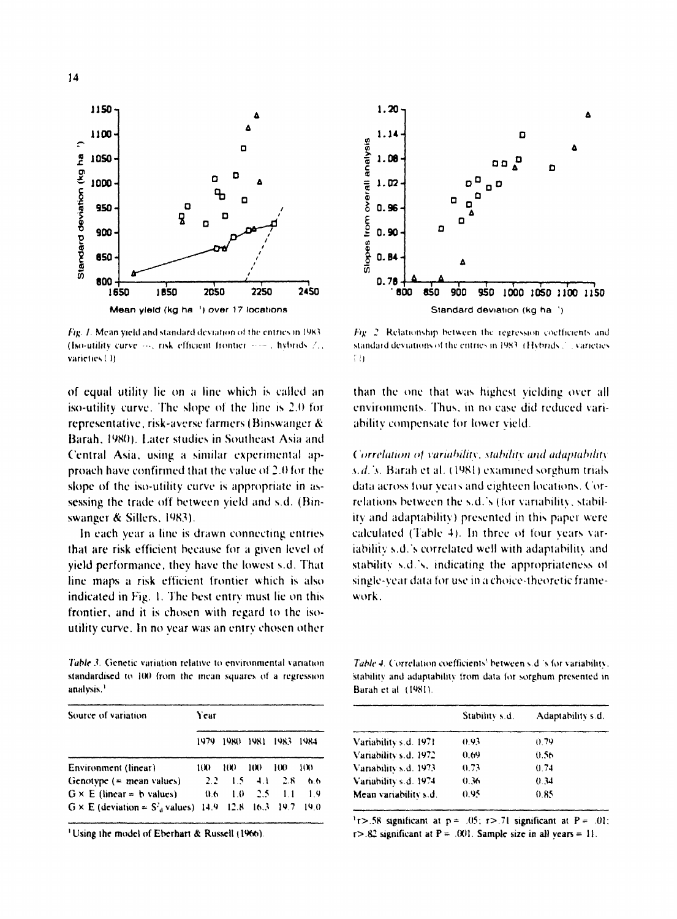

Fig. 1. Mean yield and standard deviation of the entries in 1983 (Iso-utility curve ..., risk efficient frontier ..... , hybrids /... varieties ! It

of equal utility lie on a line which is called an iso-utility curve. The slope of the line is 2.0 for representative, risk-averse farmers (Binswanger & Barah, 1980). Later studies in Southeast Asia and Central Asia, using a similar experimental approach have confirmed that the value of 2.0 for the slope of the iso-utility curve is appropriate in assessing the trade off between vield and s.d. (Binswanger & Sillers, 1983).

In each year a line is drawn connecting entries that are risk efficient because for a given level of vield performance, they have the lowest s.d. That line maps a risk efficient frontier which is also indicated in Fig. 1. The best entry must lie on this frontier, and it is chosen with regard to the isoutility curve. In no year was an entry chosen other

Table 3. Genetic variation relative to environmental variation. standardised to 100 from the mean squares of a regression analysis.<sup>1</sup>

| Source of variation                                 | Year           |         |      |      |      |  |
|-----------------------------------------------------|----------------|---------|------|------|------|--|
|                                                     | 1979           | 1980    | 1981 | 1983 | 1984 |  |
| Environment (linear)                                | 11 K F         | 1(N)    | 100  | ню   | 100  |  |
| Genotype $($ = mean values)                         | $2.2 -$        | $1.5 -$ | 4.1  | 2.8  | 66   |  |
| $G \times E$ (linear = b values)                    | 0 <sub>b</sub> | 1.0     | 2.5  | 1.1  | 1.9  |  |
| $G \times E$ (deviation = $S_A^2$ values) 14.9 12.8 |                |         | 16.3 | 197  | 190  |  |

<sup>1</sup>Using the model of Eberhart & Russell (1966).



Fig. 2. Relationship between the regression coefficients and standard deviations of the entries in 1983. (Hybrids. 2. varieties  $\bar{z}$  in

than the one that was highest vielding over all environments. Thus, in no case did reduced variability compensate for lower vield.

Correlation of variability, stability and adaptability s.d.'s. Barah et al. (1981) examined sorghum trials data across four years and eighteen locations. Correlations between the s.d.'s (for variability, stability and adaptability) presented in this paper were calculated (Table 4). In three of four years variability s.d.'s correlated well with adaptability and stability s.d.'s, indicating the appropriateness of single-year data for use in a choice-theoretic framework

Table 4. Correlation coefficients' between s.d.'s for variability. stability and adaptability from data for sorghum presented in Barah et al. (1981).

|                       | Stability s.d. | Adaptability s.d. |
|-----------------------|----------------|-------------------|
| Variability s.d. 1971 | 0.93           | 0.79              |
| Variability s.d. 1972 | 0.69           | 0.56              |
| Variability s.d. 1973 | 0.73           | 0.74              |
| Variability s.d. 1974 | 0.36           | 0.34              |
| Mean variability s.d. | 0.95           | 0.85              |

<sup>1</sup>r>.58 significant at  $p = .05$ ;  $r$ >.71 significant at  $P = .01$ ;  $r > .82$  significant at  $P = .001$ . Sample size in all vears = 11.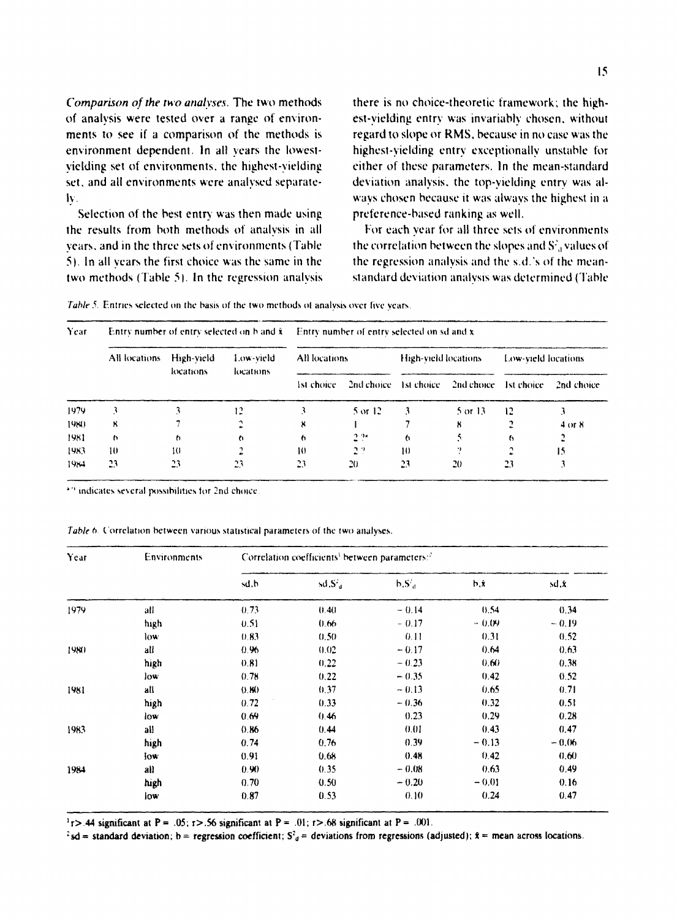Comparison of the two analyses. The two methods of analysis were tested over a range of environments to see if a comparison of the methods is environment dependent. In all years the lowestvielding set of environments, the highest-vielding set, and all environments were analysed separatelv.

Selection of the best entry was then made using the results from both methods of analysis in all vears, and in the three sets of environments (Table 5). In all years the first choice was the same in the two methods (Table 5). In the regression analysis there is no choice-theoretic framework: the highest-vielding entry was invariably chosen, without regard to slope or RMS, because in no case was the highest-vielding entry exceptionally unstable for either of these parameters. In the mean-standard deviation analysis, the top-vielding entry was always chosen because it was always the highest in a preference-based ranking as well.

For each year for all three sets of environments the correlation between the slopes and  $S<sup>2</sup>$ , values of the regression analysis and the s.d.'s of the meanstandard deviation analysis was determined (Table

Table 5. Entries selected on the basis of the two methods of analysis over five years.

| Year |               |                         |                        | Entry number of entry selected on $b$ and $\dot{x}$ Entry number of entry selected on sd and $x$ |                       |                      |            |                     |            |  |
|------|---------------|-------------------------|------------------------|--------------------------------------------------------------------------------------------------|-----------------------|----------------------|------------|---------------------|------------|--|
|      | All locations | High-vield<br>locations | Low-vield<br>locations | All locations                                                                                    |                       | High-yield locations |            | Low-vield locations |            |  |
|      |               |                         |                        | 1st choice.                                                                                      | 2nd choice 1st choice |                      | 2nd choice | 1st choice          | 2nd choice |  |
| 1979 |               |                         | 12                     |                                                                                                  | 5 or 12               |                      | 5 or 13    | 12                  |            |  |
| 1980 | ×             |                         |                        |                                                                                                  |                       |                      | к          |                     | 4 or 8     |  |
| 1981 | $\sqrt{2}$    | h                       | h                      | ь                                                                                                | 2.94                  | 6                    |            | 6                   |            |  |
| 1983 | 10            | 10                      |                        | ю                                                                                                | 22                    | 10                   |            |                     | 15         |  |
| 1984 | 23            | 23                      | 23                     | 23                                                                                               | 20                    | 23                   | 20         | 23                  |            |  |

\*7 indicates several possibilities for 2nd choice

Table 6. Correlation between various statistical parameters of the two analyses.

| Year | Environments | Correlation coefficients' between parameters:" |        |          |         |         |  |  |
|------|--------------|------------------------------------------------|--------|----------|---------|---------|--|--|
|      |              | sd.b                                           | sd,S'a | $b.S'_d$ | b.ż     | sd,k    |  |  |
| 1979 | all          | 0.73                                           | (1.40) | $-0.14$  | 0.54    | 0.34    |  |  |
|      | high         | 0.51                                           | 0.66   | $-0.17$  | $-0.09$ | $-0.19$ |  |  |
|      | low          | 0.83                                           | 0.50   | 0.11     | 0.31    | 0.52    |  |  |
| 1980 | all          | 0.96                                           | 0.02   | $-0.17$  | 0.64    | 0.63    |  |  |
|      | high         | 0.81                                           | 0.22   | $-0.23$  | 0.60    | 0.38    |  |  |
|      | low          | 0.78                                           | 0.22   | $-0.35$  | 0.42    | 0.52    |  |  |
| 1981 | all          | 0.80                                           | 0.37   | ~13      | 0.65    | 0.71    |  |  |
|      | high         | 0.72                                           | 0.33   | $-0.36$  | 0.32    | 0.51    |  |  |
|      | low          | 0.69                                           | 0.46   | 0.23     | 0.29    | 0.28    |  |  |
| 1983 | all          | 0.86                                           | 0.44   | 0.01     | 0.43    | 0.47    |  |  |
|      | high         | 0.74                                           | 0.76   | 0.39     | $-0.13$ | $-0.06$ |  |  |
|      | low          | 0.91                                           | 0.68   | 0.48     | 0.42    | (1.60)  |  |  |
| 1984 | all          | 0.90                                           | 0.35   | $-0.08$  | 0.63    | 0.49    |  |  |
|      | high         | 0.70                                           | 0.50   | $-0.20$  | $-0.01$ | 0.16    |  |  |
|      | low          | 0.87                                           | 0.53   | 0.10     | 0.24    | 0.47    |  |  |

 $1<sub>1</sub>$  > .44 significant at P = .05;  $r$  > .56 significant at P = .01;  $r$  > .68 significant at P = .001.

 $\frac{3}{2}$ sd = standard deviation; b = regression coefficient; S<sup>2</sup><sub>d</sub> = deviations from regressions (adjusted); k = mean across locations.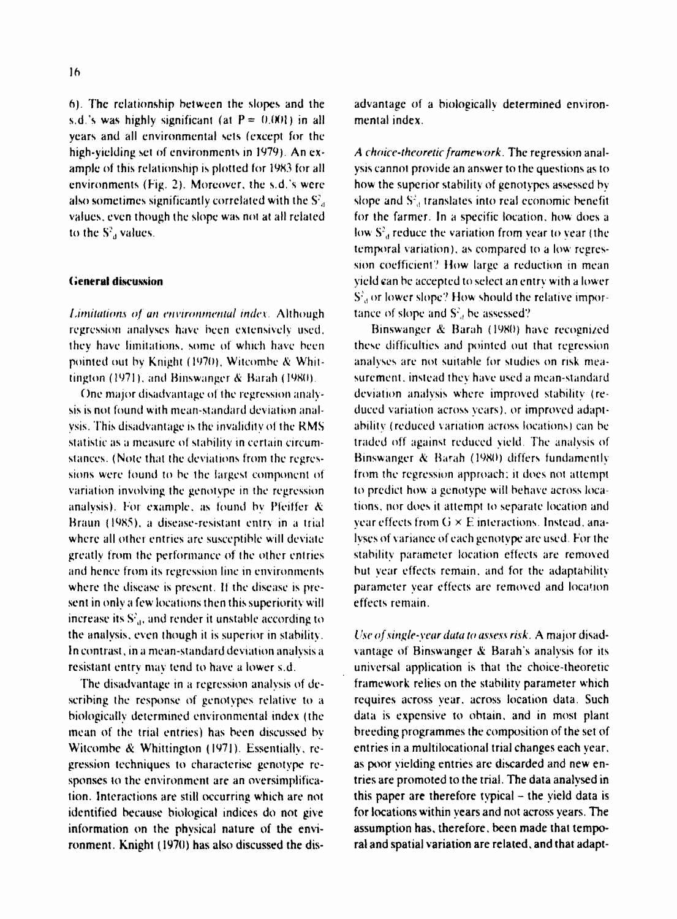6). The relationship between the slopes and the s.d.'s was highly significant (at  $P = 0.001$ ) in all years and all environmental sets (except for the high-vielding set of environments in 1979). An example of this relationship is plotted for 1983 for all environments (Fig. 2). Moreover, the s.d.'s were also sometimes significantly correlated with the S<sup>2</sup>. values, even though the slope was not at all related to the S', values.

## **General discussion**

Limitations of an environmental index. Although regression analyses have been extensively used. they have limitations, some of which have been pointed out by Knight (1970). Witcombe & Whittington (1971), and Binswanger & Barah (1980).

One major disadvantage of the regression analysis is not found with mean-standard deviation analvsis. This disadvantage is the invalidity of the RMS statistic as a measure of stability in certain circumstances. (Note that the deviations from the regressions were found to be the largest component of variation involving the genotype in the regression analysis). For example, as found by Pfeiffer & Braun (1985), a disease-resistant entry in a trial where all other entries are susceptible will deviate greatly from the performance of the other entries and hence from its regression line in environments where the disease is present. If the disease is present in only a few locations then this superiority will increase its S'<sub>a</sub>, and render it unstable according to the analysis, even though it is superior in stability. In contrast, in a mean-standard deviation analysis a resistant entry may tend to have a lower s.d.

The disadvantage in a regression analysis of describing the response of genotypes relative to a biologically determined environmental index (the mean of the trial entries) has been discussed by Witcombe & Whittington (1971). Essentially, regression techniques to characterise genotype responses to the environment are an oversimplification. Interactions are still occurring which are not identified because biological indices do not give information on the physical nature of the environment. Knight (1970) has also discussed the disadvantage of a biologically determined environmental index.

A choice-theoretic framework. The regression analysis cannot provide an answer to the questions as to how the superior stability of genotypes assessed by slope and S<sup>2</sup>, translates into real economic benefit for the farmer. In a specific location, how does a low S<sup>2</sup>, reduce the variation from year to year (the temporal variation), as compared to a low regression coefficient? How large a reduction in mean vield can be accepted to select an entry with a lower S'<sub>a</sub> or lower slope? How should the relative importance of slope and S', be assessed?

Binswanger & Barah (1980) have recognized these difficulties and pointed out that regression analyses are not suitable for studies on risk measurement, instead they have used a mean-standard deviation analysis where improved stability (reduced variation across years), or improved adaptability (reduced variation across locations) can be traded off against reduced vield. The analysis of Binswanger & Barah (1980) differs fundamently from the regression approach; it does not attempt to predict how a genotype will behave across locations, nor does it attempt to separate location and year effects from G × E interactions. Instead, analyses of variance of each genotype are used. For the stability parameter location effects are removed but vear effects remain, and for the adaptability parameter year effects are removed and location effects remain

Use of single-year data to assess risk. A major disadvantage of Binswanger & Barah's analysis for its universal application is that the choice-theoretic framework relies on the stability parameter which requires across vear, across location data. Such data is expensive to obtain, and in most plant breeding programmes the composition of the set of entries in a multilocational trial changes each vear. as poor vielding entries are discarded and new entries are promoted to the trial. The data analysed in this paper are therefore typical - the yield data is for locations within vears and not across vears. The assumption has, therefore, been made that temporal and spatial variation are related, and that adapt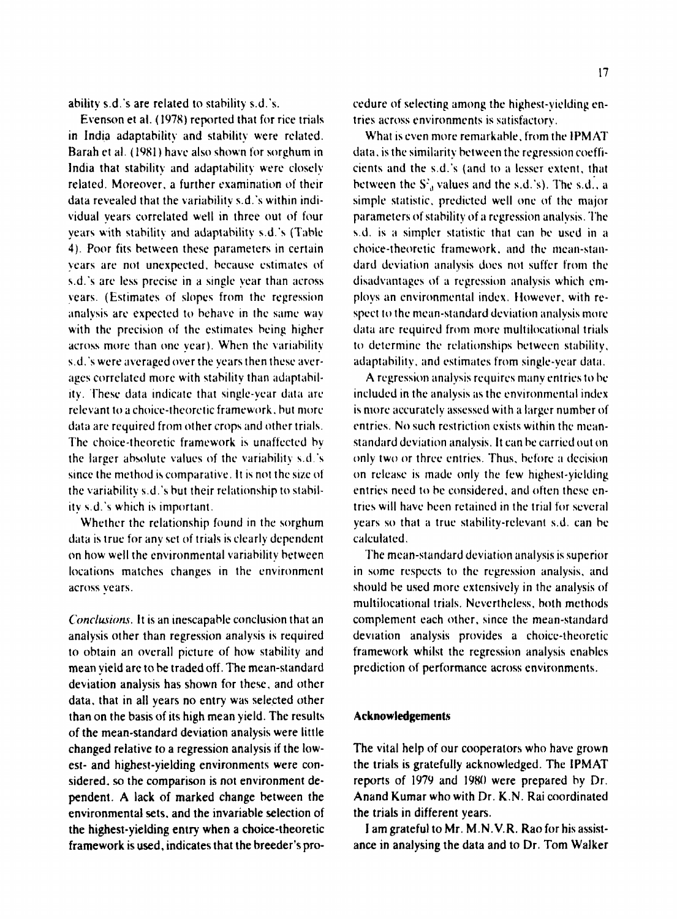ability s.d.'s are related to stability s.d.'s.

Evenson et al. (1978) reported that for rice trials in India adaptability and stability were related. Barah et al. (1981) have also shown for sorghum in India that stability and adaptability were closely related. Moreover, a further examination of their data revealed that the variability s.d.'s within individual vears correlated well in three out of four vears with stability and adaptability s.d.'s (Table 4). Poor fits between these parameters in certain vears are not unexpected, because estimates of s.d.'s are less precise in a single year than across vears. (Estimates of slopes from the regression analysis are expected to behave in the same way with the precision of the estimates being higher across more than one year). When the variability s.d.'s were averaged over the years then these averages correlated more with stability than adaptability. These data indicate that single-year data are relevant to a choice-theoretic framework, but more data are required from other crops and other trials. The choice-theoretic framework is unaffected by the larger absolute values of the variability s.d.'s since the method is comparative. It is not the size of the variability s.d.'s but their relationship to stability s.d.'s which is important.

Whether the relationship found in the sorghum data is true for any set of trials is clearly dependent on how well the environmental variability between locations matches changes in the environment across vears.

Conclusions. It is an inescapable conclusion that an analysis other than regression analysis is required to obtain an overall picture of how stability and mean vield are to be traded off. The mean-standard deviation analysis has shown for these, and other data, that in all years no entry was selected other than on the basis of its high mean yield. The results of the mean-standard deviation analysis were little changed relative to a regression analysis if the lowest- and highest-yielding environments were considered, so the comparison is not environment dependent. A lack of marked change between the environmental sets, and the invariable selection of the highest-yielding entry when a choice-theoretic framework is used, indicates that the breeder's procedure of selecting among the highest-vielding entries across environments is satisfactory.

What is even more remarkable, from the IPMAT data, is the similarity between the regression coefficients and the s.d.'s (and to a lesser extent, that between the  $S^2$ , values and the s.d.'s). The s.d., a simple statistic, predicted well one of the maior parameters of stability of a regression analysis. The s.d. is a simpler statistic that can be used in a choice-theoretic framework, and the mean-standard deviation analysis does not suffer from the disadvantages of a regression analysis which employs an environmental index. However, with respect to the mean-standard deviation analysis more data are required from more multilocational trials to determine the relationships between stability. adaptability, and estimates from single-year data.

A regression analysis requires many entries to be included in the analysis as the environmental index is more accurately assessed with a larger number of entries. No such restriction exists within the meanstandard deviation analysis. It can be carried out on only two or three entries. Thus, before a decision on release is made only the few highest-viciding entries need to be considered, and often these entries will have been retained in the trial for several years so that a true stability-relevant s.d. can be calculated

The mean-standard deviation analysis is superior in some respects to the regression analysis, and should be used more extensively in the analysis of multilocational trials. Nevertheless, both methods complement each other, since the mean-standard deviation analysis provides a choice-theoretic framework whilst the regression analysis enables prediction of performance across environments.

# Acknowledgements

The vital help of our cooperators who have grown the trials is gratefully acknowledged. The IPMAT reports of 1979 and 1980 were prepared by Dr. Anand Kumar who with Dr. K.N. Rai coordinated the trials in different vears.

I am grateful to Mr. M.N.V.R. Rao for his assistance in analysing the data and to Dr. Tom Walker